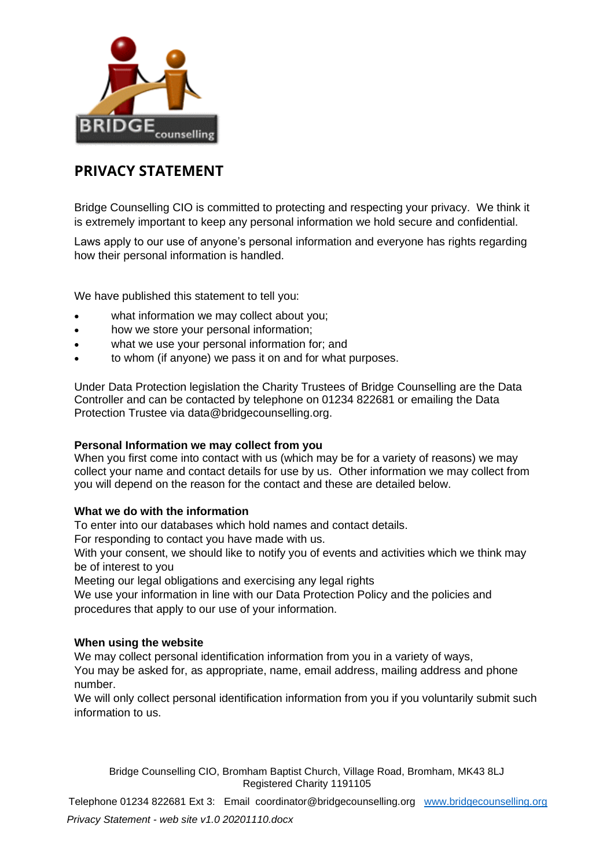

## **PRIVACY STATEMENT**

Bridge Counselling CIO is committed to protecting and respecting your privacy. We think it is extremely important to keep any personal information we hold secure and confidential.

Laws apply to our use of anyone's personal information and everyone has rights regarding how their personal information is handled.

We have published this statement to tell you:

- what information we may collect about you;
- how we store your personal information;
- what we use your personal information for; and
- to whom (if anyone) we pass it on and for what purposes.

Under Data Protection legislation the Charity Trustees of Bridge Counselling are the Data Controller and can be contacted by telephone on 01234 822681 or emailing the Data Protection Trustee via data@bridgecounselling.org.

### **Personal Information we may collect from you**

When you first come into contact with us (which may be for a variety of reasons) we may collect your name and contact details for use by us. Other information we may collect from you will depend on the reason for the contact and these are detailed below.

### **What we do with the information**

To enter into our databases which hold names and contact details.

For responding to contact you have made with us.

With your consent, we should like to notify you of events and activities which we think may be of interest to you

Meeting our legal obligations and exercising any legal rights

We use your information in line with our Data Protection Policy and the policies and procedures that apply to our use of your information.

### **When using the website**

We may collect personal identification information from you in a variety of ways, You may be asked for, as appropriate, name, email address, mailing address and phone number.

We will only collect personal identification information from you if you voluntarily submit such information to us.

Bridge Counselling CIO, Bromham Baptist Church, Village Road, Bromham, MK43 8LJ Registered Charity 1191105

Telephone 01234 822681 Ext 3: Email coordinator@bridgecounselling.org [www.bridgecounselling.org](http://www.bridgecounselling.org/) *Privacy Statement - web site v1.0 20201110.docx*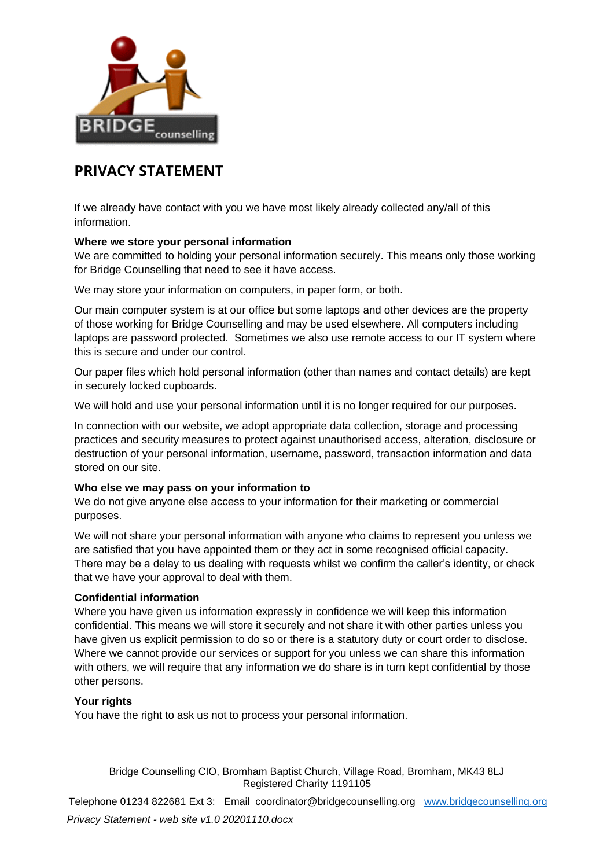

# **PRIVACY STATEMENT**

If we already have contact with you we have most likely already collected any/all of this information.

## **Where we store your personal information**

We are committed to holding your personal information securely. This means only those working for Bridge Counselling that need to see it have access.

We may store your information on computers, in paper form, or both.

Our main computer system is at our office but some laptops and other devices are the property of those working for Bridge Counselling and may be used elsewhere. All computers including laptops are password protected. Sometimes we also use remote access to our IT system where this is secure and under our control.

Our paper files which hold personal information (other than names and contact details) are kept in securely locked cupboards.

We will hold and use your personal information until it is no longer required for our purposes.

In connection with our website, we adopt appropriate data collection, storage and processing practices and security measures to protect against unauthorised access, alteration, disclosure or destruction of your personal information, username, password, transaction information and data stored on our site.

## **Who else we may pass on your information to**

We do not give anyone else access to your information for their marketing or commercial purposes.

We will not share your personal information with anyone who claims to represent you unless we are satisfied that you have appointed them or they act in some recognised official capacity. There may be a delay to us dealing with requests whilst we confirm the caller's identity, or check that we have your approval to deal with them.

## **Confidential information**

Where you have given us information expressly in confidence we will keep this information confidential. This means we will store it securely and not share it with other parties unless you have given us explicit permission to do so or there is a statutory duty or court order to disclose. Where we cannot provide our services or support for you unless we can share this information with others, we will require that any information we do share is in turn kept confidential by those other persons.

## **Your rights**

You have the right to ask us not to process your personal information.

Bridge Counselling CIO, Bromham Baptist Church, Village Road, Bromham, MK43 8LJ Registered Charity 1191105

Telephone 01234 822681 Ext 3: Email coordinator@bridgecounselling.org [www.bridgecounselling.org](http://www.bridgecounselling.org/) *Privacy Statement - web site v1.0 20201110.docx*